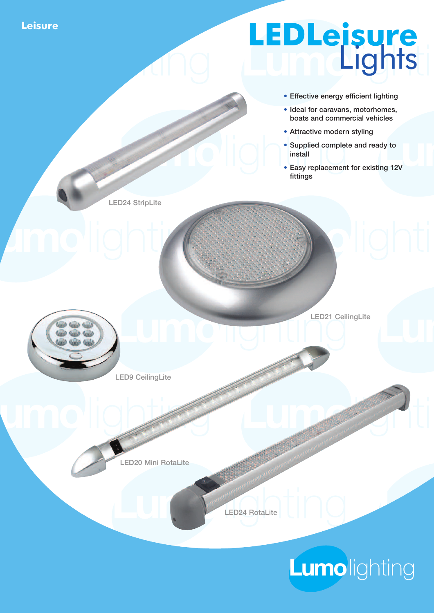**Leisure**

## **LEDLeisure** Lights

- Effective energy efficient lighting
- Ideal for caravans, motorhomes, boats and commercial vehicles
- Attractive modern styling
- Supplied complete and ready to install
- Easy replacement for existing 12V fittings

LED24 StripLite



LED21 CeilingLite

LED9 CeilingLite

LED20 Mini RotaLite



## Lumolighting